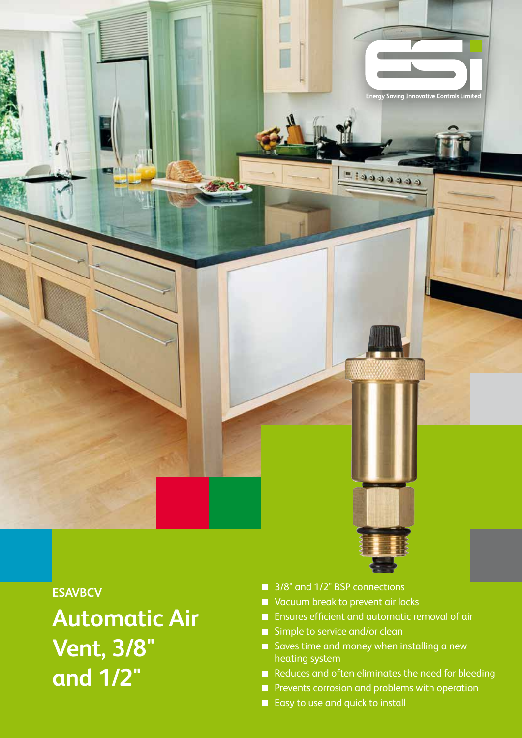

## **ESAVBCV**

**Automatic Air Vent, 3/8" and 1/2"**

- 3/8" and 1/2" BSP connections
- Vacuum break to prevent air locks
- **Ensures efficient and automatic removal of air**
- Simple to service and/or clean
- Saves time and money when installing a new heating system
- Reduces and often eliminates the need for bleeding
- **Prevents corrosion and problems with operation**
- Easy to use and quick to install